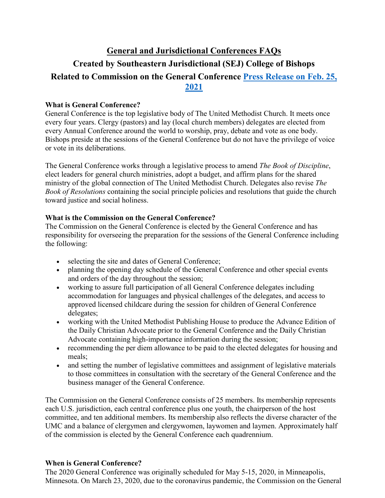# **General and Jurisdictional Conferences FAQs Created by Southeastern Jurisdictional (SEJ) College of Bishops Related to Commission on the General Conference [Press Release on Feb. 25,](https://www.resourceumc.org/en/content/General-Conference-Postponed-to-2022)  [2021](https://www.resourceumc.org/en/content/General-Conference-Postponed-to-2022)**

# **What is General Conference?**

General Conference is the top legislative body of The United Methodist Church. It meets once every four years. Clergy (pastors) and lay (local church members) delegates are elected from every Annual Conference around the world to worship, pray, debate and vote as one body. Bishops preside at the sessions of the General Conference but do not have the privilege of voice or vote in its deliberations.

The General Conference works through a legislative process to amend *The Book of Discipline*, elect leaders for general church ministries, adopt a budget, and affirm plans for the shared ministry of the global connection of The United Methodist Church. Delegates also revise *The Book of Resolutions* containing the social principle policies and resolutions that guide the church toward justice and social holiness.

# **What is the Commission on the General Conference?**

The Commission on the General Conference is elected by the General Conference and has responsibility for overseeing the preparation for the sessions of the General Conference including the following:

- selecting the site and dates of General Conference;
- planning the opening day schedule of the General Conference and other special events and orders of the day throughout the session;
- working to assure full participation of all General Conference delegates including accommodation for languages and physical challenges of the delegates, and access to approved licensed childcare during the session for children of General Conference delegates;
- working with the United Methodist Publishing House to produce the Advance Edition of the Daily Christian Advocate prior to the General Conference and the Daily Christian Advocate containing high-importance information during the session;
- recommending the per diem allowance to be paid to the elected delegates for housing and meals;
- and setting the number of legislative committees and assignment of legislative materials to those committees in consultation with the secretary of the General Conference and the business manager of the General Conference.

The Commission on the General Conference consists of 25 members. Its membership represents each U.S. jurisdiction, each central conference plus one youth, the chairperson of the host committee, and ten additional members. Its membership also reflects the diverse character of the UMC and a balance of clergymen and clergywomen, laywomen and laymen. Approximately half of the commission is elected by the General Conference each quadrennium.

## **When is General Conference?**

The 2020 General Conference was originally scheduled for May 5-15, 2020, in Minneapolis, Minnesota. On March 23, 2020, due to the coronavirus pandemic, the Commission on the General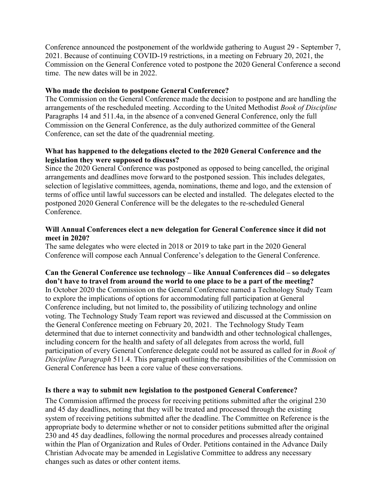Conference announced the postponement of the worldwide gathering to August 29 - September 7, 2021. Because of continuing COVID-19 restrictions, in a meeting on February 20, 2021, the Commission on the General Conference voted to postpone the 2020 General Conference a second time. The new dates will be in 2022.

## **Who made the decision to postpone General Conference?**

The Commission on the General Conference made the decision to postpone and are handling the arrangements of the rescheduled meeting. According to the United Methodist *Book of Discipline* Paragraphs 14 and 511.4a, in the absence of a convened General Conference, only the full Commission on the General Conference, as the duly authorized committee of the General Conference, can set the date of the quadrennial meeting.

## **What has happened to the delegations elected to the 2020 General Conference and the legislation they were supposed to discuss?**

Since the 2020 General Conference was postponed as opposed to being cancelled, the original arrangements and deadlines move forward to the postponed session. This includes delegates, selection of legislative committees, agenda, nominations, theme and logo, and the extension of terms of office until lawful successors can be elected and installed. The delegates elected to the postponed 2020 General Conference will be the delegates to the re-scheduled General Conference.

## **Will Annual Conferences elect a new delegation for General Conference since it did not meet in 2020?**

The same delegates who were elected in 2018 or 2019 to take part in the 2020 General Conference will compose each Annual Conference's delegation to the General Conference.

# **Can the General Conference use technology – like Annual Conferences did – so delegates don't have to travel from around the world to one place to be a part of the meeting?** In October 2020 the Commission on the General Conference named a Technology Study Team to explore the implications of options for accommodating full participation at General Conference including, but not limited to, the possibility of utilizing technology and online voting. The Technology Study Team report was reviewed and discussed at the Commission on the General Conference meeting on February 20, 2021. The Technology Study Team determined that due to internet connectivity and bandwidth and other technological challenges,

including concern for the health and safety of all delegates from across the world, full participation of every General Conference delegate could not be assured as called for in *Book of Discipline Paragraph* 511.4. This paragraph outlining the responsibilities of the Commission on General Conference has been a core value of these conversations.

## **Is there a way to submit new legislation to the postponed General Conference?**

The Commission affirmed the process for receiving petitions submitted after the original 230 and 45 day deadlines, noting that they will be treated and processed through the existing system of receiving petitions submitted after the deadline. The Committee on Reference is the appropriate body to determine whether or not to consider petitions submitted after the original 230 and 45 day deadlines, following the normal procedures and processes already contained within the Plan of Organization and Rules of Order. Petitions contained in the Advance Daily Christian Advocate may be amended in Legislative Committee to address any necessary changes such as dates or other content items.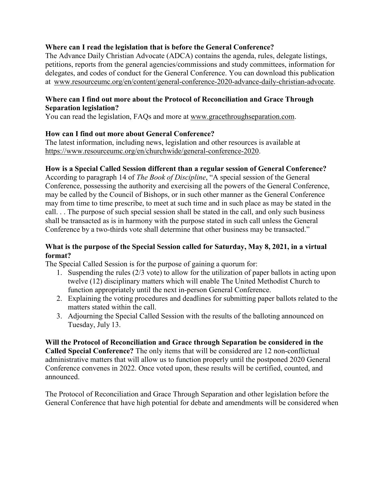# **Where can I read the legislation that is before the General Conference?**

The Advance Daily Christian Advocate (ADCA) contains the agenda, rules, delegate listings, petitions, reports from the general agencies/commissions and study committees, information for delegates, and codes of conduct for the General Conference. You can download this publication at [www.resourceumc.org/en/content/general-conference-2020-advance-daily-christian-advocate.](https://www.resourceumc.org/en/content/general-conference-2020-advance-daily-christian-advocate)

# **Where can I find out more about the Protocol of Reconciliation and Grace Through Separation legislation?**

You can read the legislation, FAQs and more at [www.gracethroughseparation.com.](http://www.gracethroughseparation.com/)

# **How can I find out more about General Conference?**

The latest information, including news, legislation and other resources is available at [https://www.resourceumc.org/en/churchwide/general-conference-2020.](https://www.resourceumc.org/en/churchwide/general-conference-2020)

# **How is a Special Called Session different than a regular session of General Conference?**

According to paragraph 14 of *The Book of Discipline*, "A special session of the General Conference, possessing the authority and exercising all the powers of the General Conference, may be called by the Council of Bishops, or in such other manner as the General Conference may from time to time prescribe, to meet at such time and in such place as may be stated in the call. . . The purpose of such special session shall be stated in the call, and only such business shall be transacted as is in harmony with the purpose stated in such call unless the General Conference by a two-thirds vote shall determine that other business may be transacted."

# **What is the purpose of the Special Session called for Saturday, May 8, 2021, in a virtual format?**

The Special Called Session is for the purpose of gaining a quorum for:

- 1. Suspending the rules (2/3 vote) to allow for the utilization of paper ballots in acting upon twelve (12) disciplinary matters which will enable The United Methodist Church to function appropriately until the next in-person General Conference.
- 2. Explaining the voting procedures and deadlines for submitting paper ballots related to the matters stated within the call.
- 3. Adjourning the Special Called Session with the results of the balloting announced on Tuesday, July 13.

**Will the Protocol of Reconciliation and Grace through Separation be considered in the Called Special Conference?** The only items that will be considered are 12 non-conflictual administrative matters that will allow us to function properly until the postponed 2020 General Conference convenes in 2022. Once voted upon, these results will be certified, counted, and announced.

The Protocol of Reconciliation and Grace Through Separation and other legislation before the General Conference that have high potential for debate and amendments will be considered when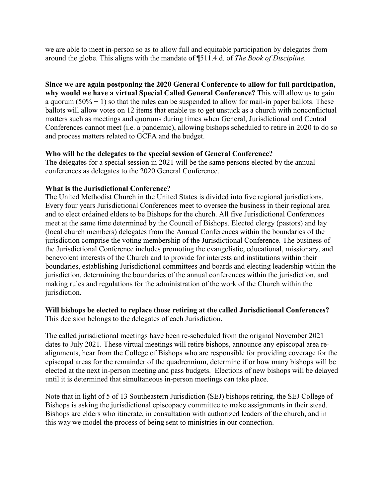we are able to meet in-person so as to allow full and equitable participation by delegates from around the globe. This aligns with the mandate of ¶511.4.d. of *The Book of Discipline*.

**Since we are again postponing the 2020 General Conference to allow for full participation, why would we have a virtual Special Called General Conference?** This will allow us to gain a quorum  $(50\% + 1)$  so that the rules can be suspended to allow for mail-in paper ballots. These ballots will allow votes on 12 items that enable us to get unstuck as a church with nonconflictual matters such as meetings and quorums during times when General, Jurisdictional and Central Conferences cannot meet (i.e. a pandemic), allowing bishops scheduled to retire in 2020 to do so and process matters related to GCFA and the budget.

# **Who will be the delegates to the special session of General Conference?**

The delegates for a special session in 2021 will be the same persons elected by the annual conferences as delegates to the 2020 General Conference.

# **What is the Jurisdictional Conference?**

The United Methodist Church in the United States is divided into five regional jurisdictions. Every four years Jurisdictional Conferences meet to oversee the business in their regional area and to elect ordained elders to be Bishops for the church. All five Jurisdictional Conferences meet at the same time determined by the Council of Bishops. Elected clergy (pastors) and lay (local church members) delegates from the Annual Conferences within the boundaries of the jurisdiction comprise the voting membership of the Jurisdictional Conference. The business of the Jurisdictional Conference includes promoting the evangelistic, educational, missionary, and benevolent interests of the Church and to provide for interests and institutions within their boundaries, establishing Jurisdictional committees and boards and electing leadership within the jurisdiction, determining the boundaries of the annual conferences within the jurisdiction, and making rules and regulations for the administration of the work of the Church within the jurisdiction.

## **Will bishops be elected to replace those retiring at the called Jurisdictional Conferences?** This decision belongs to the delegates of each Jurisdiction.

The called jurisdictional meetings have been re-scheduled from the original November 2021 dates to July 2021. These virtual meetings will retire bishops, announce any episcopal area realignments, hear from the College of Bishops who are responsible for providing coverage for the episcopal areas for the remainder of the quadrennium, determine if or how many bishops will be elected at the next in-person meeting and pass budgets. Elections of new bishops will be delayed until it is determined that simultaneous in-person meetings can take place.

Note that in light of 5 of 13 Southeastern Jurisdiction (SEJ) bishops retiring, the SEJ College of Bishops is asking the jurisdictional episcopacy committee to make assignments in their stead. Bishops are elders who itinerate, in consultation with authorized leaders of the church, and in this way we model the process of being sent to ministries in our connection.